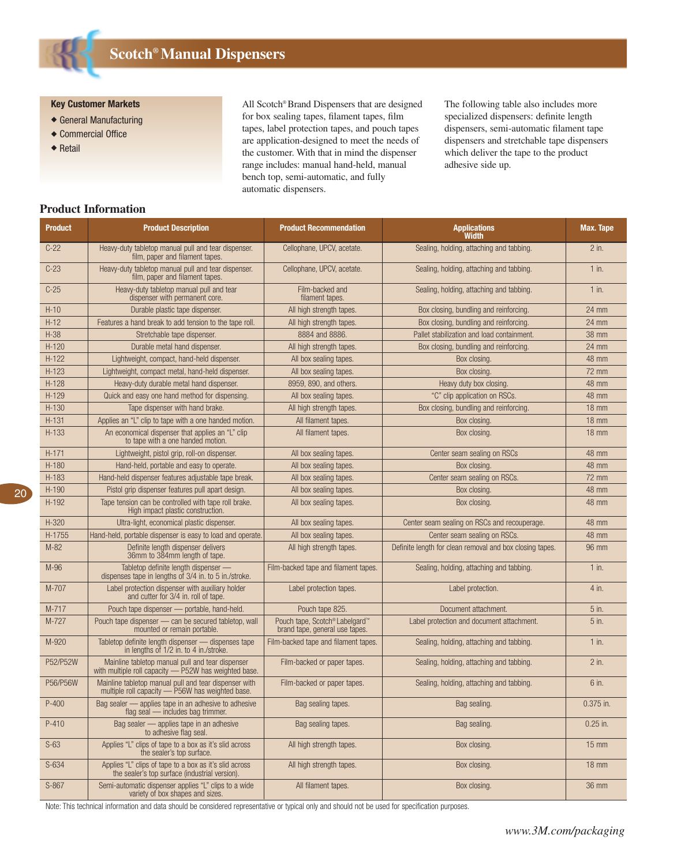**Scotch®Manual Dispensers**

**Key Customer Markets**

- ◆ General Manufacturing
- ◆ Commercial Office
- ◆ Retail

All Scotch® Brand Dispensers that are designed for box sealing tapes, filament tapes, film tapes, label protection tapes, and pouch tapes are application-designed to meet the needs of the customer. With that in mind the dispenser range includes: manual hand-held, manual bench top, semi-automatic, and fully automatic dispensers.

The following table also includes more specialized dispensers: definite length dispensers, semi-automatic filament tape dispensers and stretchable tape dispensers which deliver the tape to the product adhesive side up.

## **Product Information**

| <b>Product</b> | <b>Product Description</b>                                                                                | <b>Product Recommendation</b>                                    | <b>Applications</b><br>Width                             | Max. Tape       |
|----------------|-----------------------------------------------------------------------------------------------------------|------------------------------------------------------------------|----------------------------------------------------------|-----------------|
| $C-22$         | Heavy-duty tabletop manual pull and tear dispenser.<br>film, paper and filament tapes.                    | Cellophane, UPCV, acetate.                                       | Sealing, holding, attaching and tabbing.                 | $2$ in.         |
| $C-23$         | Heavy-duty tabletop manual pull and tear dispenser.<br>film, paper and filament tapes.                    | Cellophane, UPCV, acetate.                                       | Sealing, holding, attaching and tabbing.                 | $1$ in.         |
| $C-25$         | Heavy-duty tabletop manual pull and tear<br>dispenser with permanent core.                                | Film-backed and<br>filament tapes.                               | Sealing, holding, attaching and tabbing.                 | $1$ in.         |
| $H-10$         | Durable plastic tape dispenser.                                                                           | All high strength tapes.                                         | Box closing, bundling and reinforcing.                   | 24 mm           |
| $H-12$         | Features a hand break to add tension to the tape roll.                                                    | All high strength tapes.                                         | Box closing, bundling and reinforcing.                   | 24 mm           |
| $H-38$         | Stretchable tape dispenser.                                                                               | 8884 and 8886.                                                   | Pallet stabilization and load containment.               | <b>38 mm</b>    |
| $H-120$        | Durable metal hand dispenser.                                                                             | All high strength tapes.                                         | Box closing, bundling and reinforcing.                   | 24 mm           |
| $H-122$        | Lightweight, compact, hand-held dispenser.                                                                | All box sealing tapes.                                           | Box closing.                                             | 48 mm           |
| $H-123$        | Lightweight, compact metal, hand-held dispenser.                                                          | All box sealing tapes.                                           | Box closing.                                             | 72 mm           |
| $H-128$        | Heavy-duty durable metal hand dispenser.                                                                  | 8959, 890, and others.                                           | Heavy duty box closing.                                  | 48 mm           |
| $H-129$        | Quick and easy one hand method for dispensing.                                                            | All box sealing tapes.                                           | "C" clip application on RSCs.                            | 48 mm           |
| $H-130$        | Tape dispenser with hand brake.                                                                           | All high strength tapes.                                         | Box closing, bundling and reinforcing.                   | $18 \text{ mm}$ |
| $H-131$        | Applies an "L" clip to tape with a one handed motion.                                                     | All filament tapes.                                              | Box closing.                                             | $18 \text{ mm}$ |
| H-133          | An economical dispenser that applies an "L" clip<br>to tape with a one handed motion.                     | All filament tapes.                                              | Box closing.                                             | $18 \text{ mm}$ |
| $H-171$        | Lightweight, pistol grip, roll-on dispenser.                                                              | All box sealing tapes.                                           | Center seam sealing on RSCs                              | 48 mm           |
| $H-180$        | Hand-held, portable and easy to operate.                                                                  | All box sealing tapes.                                           | Box closing.                                             | 48 mm           |
| H-183          | Hand-held dispenser features adjustable tape break.                                                       | All box sealing tapes.                                           | Center seam sealing on RSCs.                             | 72 mm           |
| $H-190$        | Pistol grip dispenser features pull apart design.                                                         | All box sealing tapes.                                           | Box closing.                                             | 48 mm           |
| H-192          | Tape tension can be controlled with tape roll brake.<br>High impact plastic construction.                 | All box sealing tapes.                                           | Box closing.                                             | 48 mm           |
| H-320          | Ultra-light, economical plastic dispenser.                                                                | All box sealing tapes.                                           | Center seam sealing on RSCs and recouperage.             | 48 mm           |
| H-1755         | Hand-held, portable dispenser is easy to load and operate.                                                | All box sealing tapes.                                           | Center seam sealing on RSCs.                             | 48 mm           |
| $M-82$         | Definite length dispenser delivers<br>36mm to 384mm length of tape.                                       | All high strength tapes.                                         | Definite length for clean removal and box closing tapes. | 96 mm           |
| M-96           | Tabletop definite length dispenser -<br>dispenses tape in lengths of 3/4 in. to 5 in./stroke.             | Film-backed tape and filament tapes.                             | Sealing, holding, attaching and tabbing.                 | $1$ in.         |
| M-707          | Label protection dispenser with auxiliary holder<br>and cutter for 3/4 in. roll of tape.                  | Label protection tapes.                                          | Label protection.                                        | 4 in.           |
| M-717          | Pouch tape dispenser - portable, hand-held.                                                               | Pouch tape 825.                                                  | Document attachment.                                     | 5 in.           |
| M-727          | Pouch tape dispenser - can be secured tabletop, wall<br>mounted or remain portable.                       | Pouch tape, Scotch® Labelgard™<br>brand tape, general use tapes. | Label protection and document attachment.                | 5 in.           |
| M-920          | Tabletop definite length dispenser — dispenses tape<br>in lengths of 1/2 in. to 4 in./stroke.             | Film-backed tape and filament tapes.                             | Sealing, holding, attaching and tabbing.                 | $1$ in.         |
| P52/P52W       | Mainline tabletop manual pull and tear dispenser<br>with multiple roll capacity - P52W has weighted base. | Film-backed or paper tapes.                                      | Sealing, holding, attaching and tabbing.                 | $2$ in.         |
| P56/P56W       | Mainline tabletop manual pull and tear dispenser with<br>multiple roll capacity - P56W has weighted base. | Film-backed or paper tapes.                                      | Sealing, holding, attaching and tabbing.                 | 6 in.           |
| $P-400$        | Bag sealer - applies tape in an adhesive to adhesive<br>flag seal — includes bag trimmer.                 | Bag sealing tapes.                                               | Bag sealing.                                             | 0.375 in.       |
| $P-410$        | Bag sealer - applies tape in an adhesive<br>to adhesive flag seal.                                        | Bag sealing tapes.                                               | Bag sealing.                                             | $0.25$ in.      |
| $S-63$         | Applies "L" clips of tape to a box as it's slid across<br>the sealer's top surface.                       | All high strength tapes.                                         | Box closing.                                             | $15$ mm         |
| $S-634$        | Applies "L" clips of tape to a box as it's slid across<br>the sealer's top surface (industrial version).  | All high strength tapes.                                         | Box closing.                                             | $18$ mm         |
| $S-867$        | Semi-automatic dispenser applies "L" clips to a wide<br>variety of box shapes and sizes.                  | All filament tapes.                                              | Box closing.                                             | <b>36 mm</b>    |